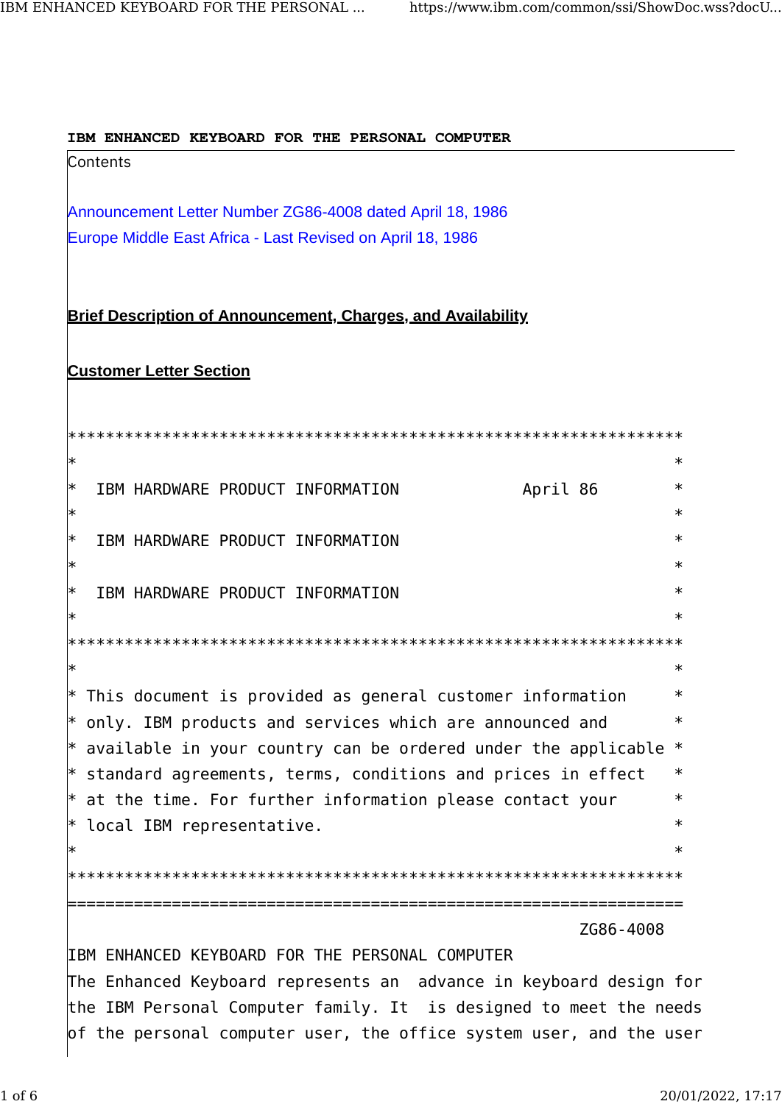IBM ENHANCED KEYBOARD FOR THE PERSONAL COMPUTER

Contents

Announcement Letter Number ZG86-4008 dated April 18, 1986 Europe Middle East Africa - Last Revised on April 18, 1986

Brief Description of Announcement, Charges, and Availability

## **Customer Letter Section**

| ∗                                                                           | $\ast$ |
|-----------------------------------------------------------------------------|--------|
| $\ast$<br>IBM HARDWARE PRODUCT INFORMATION<br>April 86                      | $\ast$ |
| ∗                                                                           | $\ast$ |
| ∗<br>IBM HARDWARE PRODUCT INFORMATION                                       | $\ast$ |
| ∗                                                                           | $\ast$ |
| IBM HARDWARE PRODUCT INFORMATION<br> ∗                                      | $\ast$ |
| ∗                                                                           | $\ast$ |
|                                                                             |        |
| $\ast$                                                                      | $\ast$ |
| $*$ This document is provided as general customer information               | $\ast$ |
| $\ast$ only. IBM products and services which are announced and              | $\ast$ |
| $\ast$ available in your country can be ordered under the applicable $\ast$ |        |
| $\ast$ standard agreements, terms, conditions and prices in effect          | $\ast$ |
| $*$ at the time. For further information please contact your                | $\ast$ |
| $*$ local IBM representative.                                               | $\ast$ |
|                                                                             | $\ast$ |
|                                                                             |        |
|                                                                             |        |
| ZG86-4008                                                                   |        |
| IBM ENHANCED KEYBOARD FOR THE PERSONAL COMPUTER                             |        |
| The Enhanced Keyboard represents an advance in keyboard design for          |        |
| the IBM Personal Computer family. It is designed to meet the needs          |        |
| of the personal computer user, the office system user, and the user         |        |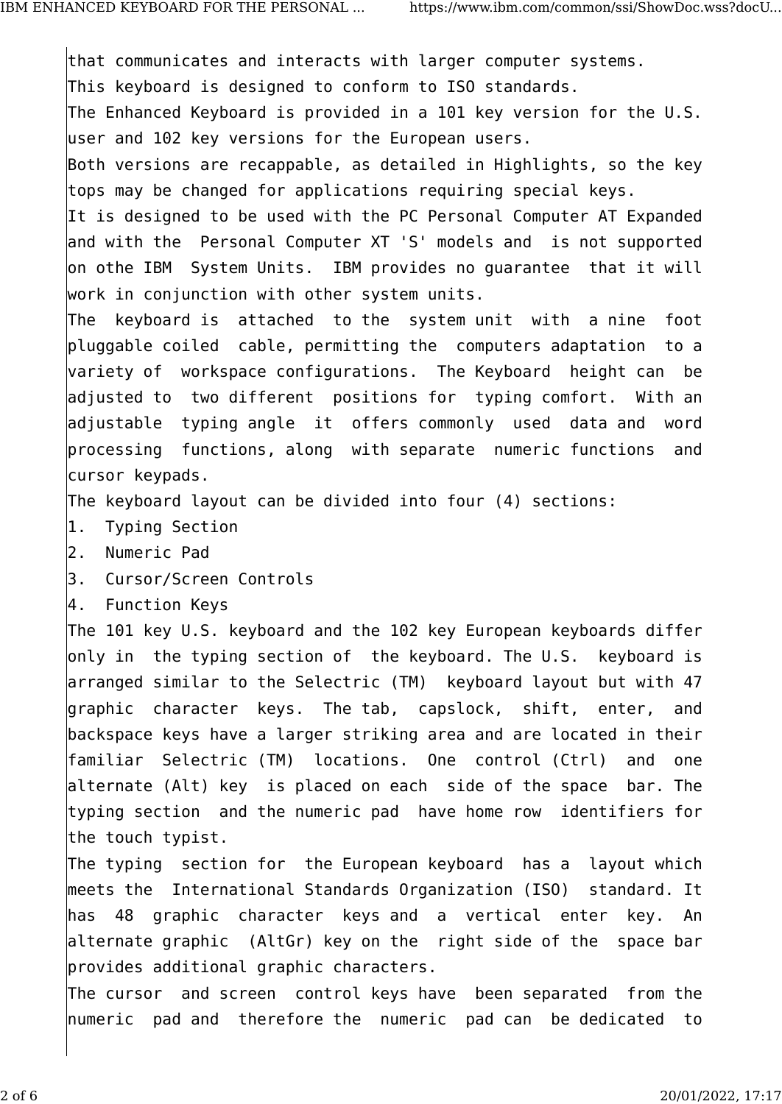that communicates and interacts with larger computer systems. This keyboard is designed to conform to ISO standards. The Enhanced Keyboard is provided in a 101 key version for the U.S. user and 102 key versions for the European users. Both versions are recappable, as detailed in Highlights, so the key tops may be changed for applications requiring special keys. It is designed to be used with the PC Personal Computer AT Expanded and with the Personal Computer XT 'S' models and is not supported on othe IBM System Units. IBM provides no guarantee that it will work in conjunction with other system units. The keyboard is attached to the system unit with a nine foot pluggable coiled cable, permitting the computers adaptation to a variety of workspace configurations. The Keyboard height can be adjusted to two different positions for typing comfort. With an adjustable typing angle it offers commonly used data and word processing functions, along with separate numeric functions and

cursor keypads.

The keyboard layout can be divided into four (4) sections:

- 1. Typing Section
- 2. Numeric Pad
- 3. Cursor/Screen Controls
- 4. Function Keys

The 101 key U.S. keyboard and the 102 key European keyboards differ only in the typing section of the keyboard. The U.S. keyboard is arranged similar to the Selectric (TM) keyboard layout but with 47 graphic character keys. The tab, capslock, shift, enter, and backspace keys have a larger striking area and are located in their familiar Selectric (TM) locations. One control (Ctrl) and one alternate (Alt) key is placed on each side of the space bar. The typing section and the numeric pad have home row identifiers for the touch typist.

The typing section for the European keyboard has a layout which meets the International Standards Organization (ISO) standard. It has 48 graphic character keys and a vertical enter key. An alternate graphic (AltGr) key on the right side of the space bar provides additional graphic characters.

The cursor and screen control keys have been separated from the numeric pad and therefore the numeric pad can be dedicated to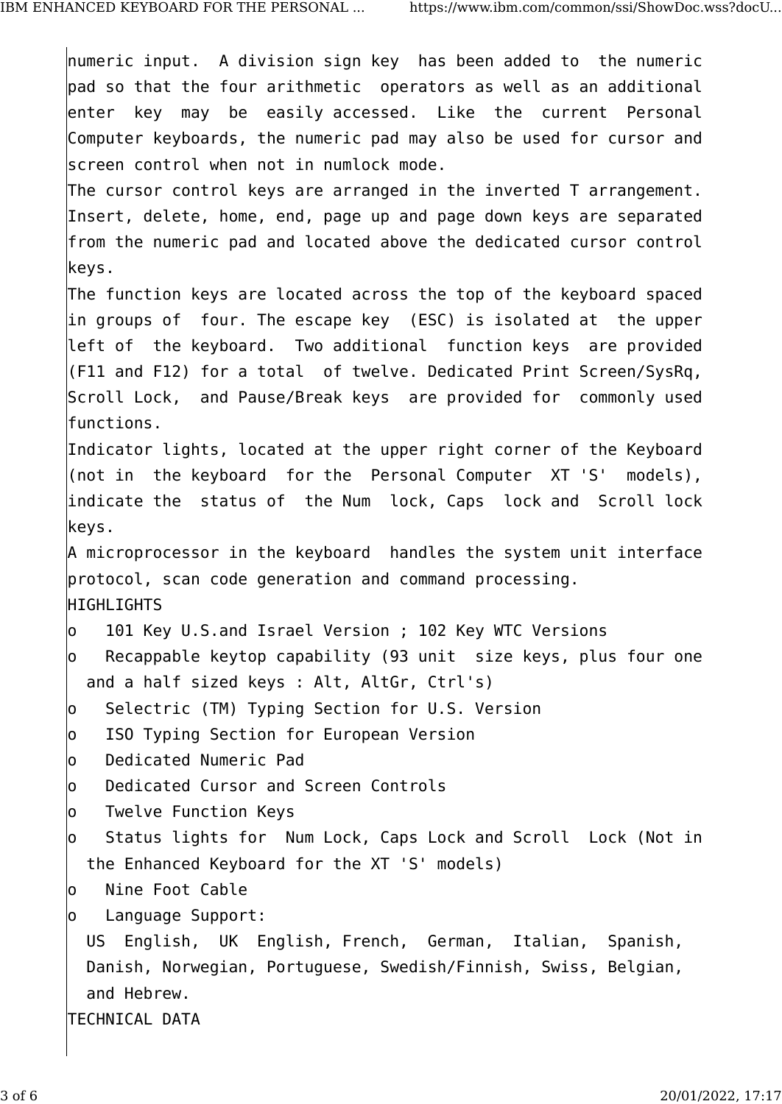numeric input. A division sign key has been added to the numeric pad so that the four arithmetic operators as well as an additional enter key may be easily accessed. Like the current Personal Computer keyboards, the numeric pad may also be used for cursor and screen control when not in numlock mode. The cursor control keys are arranged in the inverted T arrangement. Insert, delete, home, end, page up and page down keys are separated from the numeric pad and located above the dedicated cursor control keys. The function keys are located across the top of the keyboard spaced in groups of four. The escape key (ESC) is isolated at the upper left of the keyboard. Two additional function keys are provided (F11 and F12) for a total of twelve. Dedicated Print Screen/SysRq, Scroll Lock, and Pause/Break keys are provided for commonly used functions. Indicator lights, located at the upper right corner of the Keyboard (not in the keyboard for the Personal Computer XT 'S' models), indicate the status of the Num lock, Caps lock and Scroll lock keys. A microprocessor in the keyboard handles the system unit interface protocol, scan code generation and command processing. HIGHLIGHTS o 101 Key U.S.and Israel Version ; 102 Key WTC Versions  $|$ o Recappable keytop capability (93 unit size keys, plus four one and a half sized keys : Alt, AltGr, Ctrl's) o Selectric (TM) Typing Section for U.S. Version o ISO Typing Section for European Version o Dedicated Numeric Pad o Dedicated Cursor and Screen Controls lo Twelve Function Kevs o Status lights for Num Lock, Caps Lock and Scroll Lock (Not in the Enhanced Keyboard for the XT 'S' models) o Nine Foot Cable o Language Support: US English, UK English, French, German, Italian, Spanish, Danish, Norwegian, Portuguese, Swedish/Finnish, Swiss, Belgian, and Hebrew. TECHNICAL DATA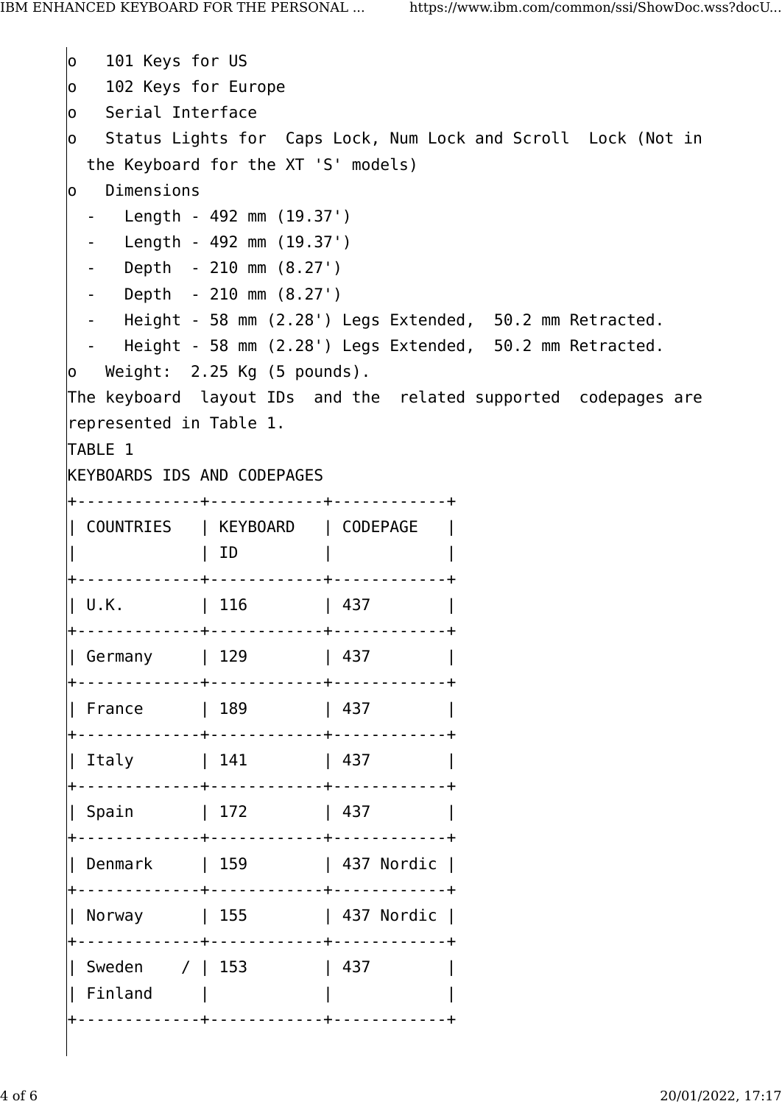o 101 Keys for US o 102 Keys for Europe o Serial Interface o Status Lights for Caps Lock, Num Lock and Scroll Lock (Not in the Keyboard for the XT 'S' models) o Dimensions - Length - 492 mm (19.37') - Length - 492 mm (19.37') - Depth - 210 mm (8.27') - Depth - 210 mm (8.27') - Height - 58 mm (2.28') Legs Extended, 50.2 mm Retracted. - Height - 58 mm (2.28') Legs Extended, 50.2 mm Retracted. o Weight: 2.25 Kg (5 pounds). The keyboard layout IDs and the related supported codepages are represented in Table 1. TABLE 1 KEYBOARDS IDS AND CODEPAGES +-------------+------------+------------+ | COUNTRIES | KEYBOARD | CODEPAGE | | | ID | | +-------------+------------+------------+ | U.K. | 116 | 437 +-------------+------------+------------+ | Germany | 129 | 437 | +-------------+------------+------------+ | France | 189 | 437 | +-------------+------------+------------+ | Italy | 141 | 437 | +-------------+------------+------------+ | Spain | 172 | 437 | +-------------+------------+------------+ | Denmark | 159 | 437 Nordic +-------------+------------+------------+ | Norway | 155 | 437 Nordic | +-------------+------------+------------+ | Sweden / | 153 | 437 | | Finland | | | +-------------+------------+------------+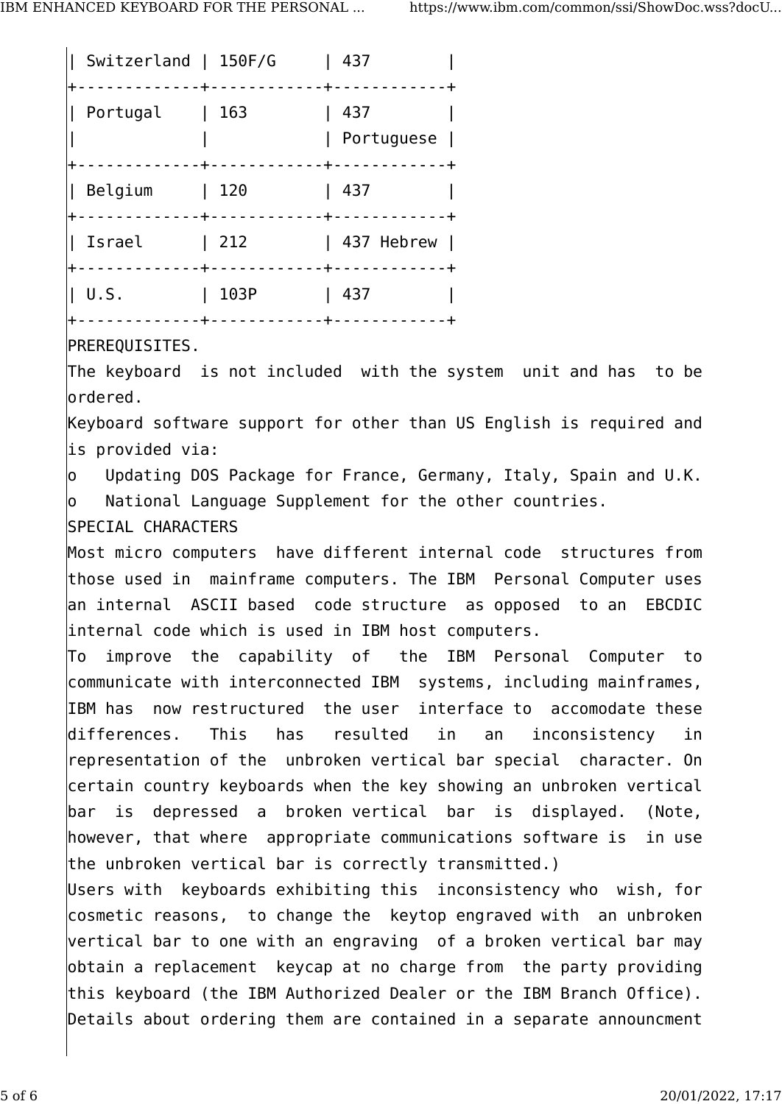| Switzerland   150F/G<br>$\mathbf{L}$ |      | 437                                                        |
|--------------------------------------|------|------------------------------------------------------------|
| Portugal                             | 163  | 437<br>Portuguese<br>---+-----------+                      |
| Belgium<br>+-------------+----       | 120  | 437<br>------+------                                       |
| Israel<br>+-------------+------      | 212  | 437 Hebrew<br><u> - - - - + - - - - - - - - - - - - + </u> |
| U.S.                                 | 103P | 437                                                        |

PREREQUISITES.

The keyboard is not included with the system unit and has to be ordered.

Keyboard software support for other than US English is required and is provided via:

o Updating DOS Package for France, Germany, Italy, Spain and U.K. o National Language Supplement for the other countries.

## SPECIAL CHARACTERS

Most micro computers have different internal code structures from those used in mainframe computers. The IBM Personal Computer uses an internal ASCII based code structure as opposed to an EBCDIC internal code which is used in IBM host computers.

To improve the capability of the IBM Personal Computer to communicate with interconnected IBM systems, including mainframes, IBM has now restructured the user interface to accomodate these differences. This has resulted in an inconsistency in representation of the unbroken vertical bar special character. On certain country keyboards when the key showing an unbroken vertical bar is depressed a broken vertical bar is displayed. (Note, however, that where appropriate communications software is in use the unbroken vertical bar is correctly transmitted.)

Users with keyboards exhibiting this inconsistency who wish, for cosmetic reasons, to change the keytop engraved with an unbroken vertical bar to one with an engraving of a broken vertical bar may obtain a replacement keycap at no charge from the party providing this keyboard (the IBM Authorized Dealer or the IBM Branch Office). Details about ordering them are contained in a separate announcment